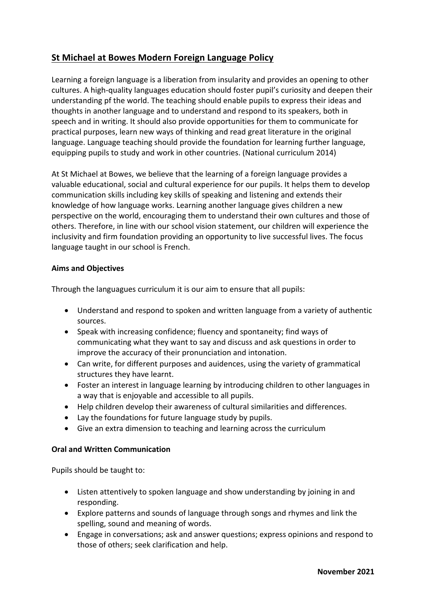# **St Michael at Bowes Modern Foreign Language Policy**

Learning a foreign language is a liberation from insularity and provides an opening to other cultures. A high-quality languages education should foster pupil's curiosity and deepen their understanding pf the world. The teaching should enable pupils to express their ideas and thoughts in another language and to understand and respond to its speakers, both in speech and in writing. It should also provide opportunities for them to communicate for practical purposes, learn new ways of thinking and read great literature in the original language. Language teaching should provide the foundation for learning further language, equipping pupils to study and work in other countries. (National curriculum 2014)

At St Michael at Bowes, we believe that the learning of a foreign language provides a valuable educational, social and cultural experience for our pupils. It helps them to develop communication skills including key skills of speaking and listening and extends their knowledge of how language works. Learning another language gives children a new perspective on the world, encouraging them to understand their own cultures and those of others. Therefore, in line with our school vision statement, our children will experience the inclusivity and firm foundation providing an opportunity to live successful lives. The focus language taught in our school is French.

## **Aims and Objectives**

Through the languagues curriculum it is our aim to ensure that all pupils:

- Understand and respond to spoken and written language from a variety of authentic sources.
- Speak with increasing confidence; fluency and spontaneity; find ways of communicating what they want to say and discuss and ask questions in order to improve the accuracy of their pronunciation and intonation.
- Can write, for different purposes and auidences, using the variety of grammatical structures they have learnt.
- Foster an interest in language learning by introducing children to other languages in a way that is enjoyable and accessible to all pupils.
- Help children develop their awareness of cultural similarities and differences.
- Lay the foundations for future language study by pupils.
- Give an extra dimension to teaching and learning across the curriculum

## **Oral and Written Communication**

Pupils should be taught to:

- Listen attentively to spoken language and show understanding by joining in and responding.
- Explore patterns and sounds of language through songs and rhymes and link the spelling, sound and meaning of words.
- Engage in conversations; ask and answer questions; express opinions and respond to those of others; seek clarification and help.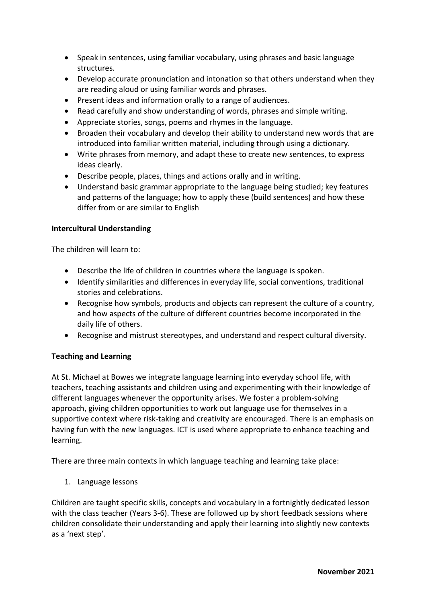- Speak in sentences, using familiar vocabulary, using phrases and basic language structures.
- Develop accurate pronunciation and intonation so that others understand when they are reading aloud or using familiar words and phrases.
- Present ideas and information orally to a range of audiences.
- Read carefully and show understanding of words, phrases and simple writing.
- Appreciate stories, songs, poems and rhymes in the language.
- Broaden their vocabulary and develop their ability to understand new words that are introduced into familiar written material, including through using a dictionary.
- Write phrases from memory, and adapt these to create new sentences, to express ideas clearly.
- Describe people, places, things and actions orally and in writing.
- Understand basic grammar appropriate to the language being studied; key features and patterns of the language; how to apply these (build sentences) and how these differ from or are similar to English

### **Intercultural Understanding**

The children will learn to:

- Describe the life of children in countries where the language is spoken.
- Identify similarities and differences in everyday life, social conventions, traditional stories and celebrations.
- Recognise how symbols, products and objects can represent the culture of a country, and how aspects of the culture of different countries become incorporated in the daily life of others.
- Recognise and mistrust stereotypes, and understand and respect cultural diversity.

#### **Teaching and Learning**

At St. Michael at Bowes we integrate language learning into everyday school life, with teachers, teaching assistants and children using and experimenting with their knowledge of different languages whenever the opportunity arises. We foster a problem-solving approach, giving children opportunities to work out language use for themselves in a supportive context where risk-taking and creativity are encouraged. There is an emphasis on having fun with the new languages. ICT is used where appropriate to enhance teaching and learning.

There are three main contexts in which language teaching and learning take place:

1. Language lessons

Children are taught specific skills, concepts and vocabulary in a fortnightly dedicated lesson with the class teacher (Years 3-6). These are followed up by short feedback sessions where children consolidate their understanding and apply their learning into slightly new contexts as a 'next step'.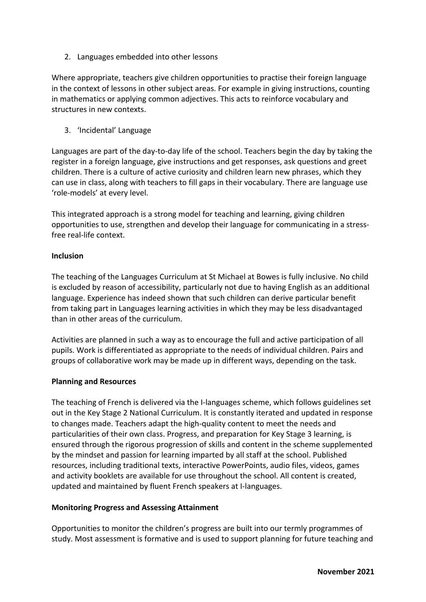2. Languages embedded into other lessons

Where appropriate, teachers give children opportunities to practise their foreign language in the context of lessons in other subject areas. For example in giving instructions, counting in mathematics or applying common adjectives. This acts to reinforce vocabulary and structures in new contexts.

3. 'Incidental' Language

Languages are part of the day-to-day life of the school. Teachers begin the day by taking the register in a foreign language, give instructions and get responses, ask questions and greet children. There is a culture of active curiosity and children learn new phrases, which they can use in class, along with teachers to fill gaps in their vocabulary. There are language use 'role-models' at every level.

This integrated approach is a strong model for teaching and learning, giving children opportunities to use, strengthen and develop their language for communicating in a stressfree real-life context.

#### **Inclusion**

The teaching of the Languages Curriculum at St Michael at Bowes is fully inclusive. No child is excluded by reason of accessibility, particularly not due to having English as an additional language. Experience has indeed shown that such children can derive particular benefit from taking part in Languages learning activities in which they may be less disadvantaged than in other areas of the curriculum.

Activities are planned in such a way as to encourage the full and active participation of all pupils. Work is differentiated as appropriate to the needs of individual children. Pairs and groups of collaborative work may be made up in different ways, depending on the task.

#### **Planning and Resources**

The teaching of French is delivered via the I-languages scheme, which follows guidelines set out in the Key Stage 2 National Curriculum. It is constantly iterated and updated in response to changes made. Teachers adapt the high-quality content to meet the needs and particularities of their own class. Progress, and preparation for Key Stage 3 learning, is ensured through the rigorous progression of skills and content in the scheme supplemented by the mindset and passion for learning imparted by all staff at the school. Published resources, including traditional texts, interactive PowerPoints, audio files, videos, games and activity booklets are available for use throughout the school. All content is created, updated and maintained by fluent French speakers at I-languages.

#### **Monitoring Progress and Assessing Attainment**

Opportunities to monitor the children's progress are built into our termly programmes of study. Most assessment is formative and is used to support planning for future teaching and